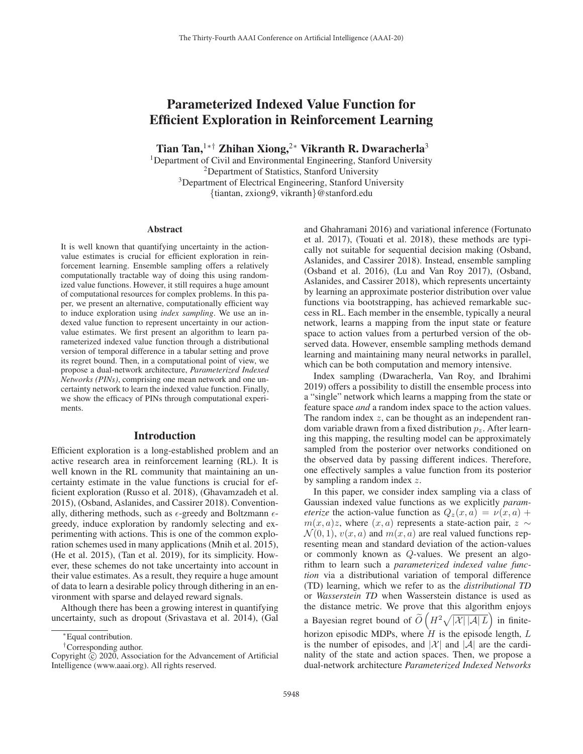# Parameterized Indexed Value Function for Efficient Exploration in Reinforcement Learning

Tian Tan,<sup>1∗†</sup> Zhihan Xiong,<sup>2</sup>\* Vikranth R. Dwaracherla<sup>3</sup>

<sup>1</sup>Department of Civil and Environmental Engineering, Stanford University 2Department of Statistics, Stanford University 3Department of Electrical Engineering, Stanford University {tiantan, zxiong9, vikranth}@stanford.edu

#### Abstract

It is well known that quantifying uncertainty in the actionvalue estimates is crucial for efficient exploration in reinforcement learning. Ensemble sampling offers a relatively computationally tractable way of doing this using randomized value functions. However, it still requires a huge amount of computational resources for complex problems. In this paper, we present an alternative, computationally efficient way to induce exploration using *index sampling*. We use an indexed value function to represent uncertainty in our actionvalue estimates. We first present an algorithm to learn parameterized indexed value function through a distributional version of temporal difference in a tabular setting and prove its regret bound. Then, in a computational point of view, we propose a dual-network architecture, *Parameterized Indexed Networks (PINs)*, comprising one mean network and one uncertainty network to learn the indexed value function. Finally, we show the efficacy of PINs through computational experiments.

#### Introduction

Efficient exploration is a long-established problem and an active research area in reinforcement learning (RL). It is well known in the RL community that maintaining an uncertainty estimate in the value functions is crucial for efficient exploration (Russo et al. 2018), (Ghavamzadeh et al. 2015), (Osband, Aslanides, and Cassirer 2018). Conventionally, dithering methods, such as  $\epsilon$ -greedy and Boltzmann  $\epsilon$ greedy, induce exploration by randomly selecting and experimenting with actions. This is one of the common exploration schemes used in many applications (Mnih et al. 2015), (He et al. 2015), (Tan et al. 2019), for its simplicity. However, these schemes do not take uncertainty into account in their value estimates. As a result, they require a huge amount of data to learn a desirable policy through dithering in an environment with sparse and delayed reward signals.

Although there has been a growing interest in quantifying uncertainty, such as dropout (Srivastava et al. 2014), (Gal

and Ghahramani 2016) and variational inference (Fortunato et al. 2017), (Touati et al. 2018), these methods are typically not suitable for sequential decision making (Osband, Aslanides, and Cassirer 2018). Instead, ensemble sampling (Osband et al. 2016), (Lu and Van Roy 2017), (Osband, Aslanides, and Cassirer 2018), which represents uncertainty by learning an approximate posterior distribution over value functions via bootstrapping, has achieved remarkable success in RL. Each member in the ensemble, typically a neural network, learns a mapping from the input state or feature space to action values from a perturbed version of the observed data. However, ensemble sampling methods demand learning and maintaining many neural networks in parallel, which can be both computation and memory intensive.

Index sampling (Dwaracherla, Van Roy, and Ibrahimi 2019) offers a possibility to distill the ensemble process into a "single" network which learns a mapping from the state or feature space *and* a random index space to the action values. The random index  $z$ , can be thought as an independent random variable drawn from a fixed distribution  $p<sub>z</sub>$ . After learning this mapping, the resulting model can be approximately sampled from the posterior over networks conditioned on the observed data by passing different indices. Therefore, one effectively samples a value function from its posterior by sampling a random index z.

In this paper, we consider index sampling via a class of Gaussian indexed value functions as we explicitly *parameterize* the action-value function as  $Q_z(x, a) = \nu(x, a) +$  $m(x, a)z$ , where  $(x, a)$  represents a state-action pair,  $z \sim$  $\mathcal{N}(0, 1), v(x, a)$  and  $m(x, a)$  are real valued functions representing mean and standard deviation of the action-values or commonly known as Q-values. We present an algorithm to learn such a *parameterized indexed value function* via a distributional variation of temporal difference (TD) learning, which we refer to as the *distributional TD* or *Wasserstein TD* when Wasserstein distance is used as the distance metric. We prove that this algorithm enjoys a Bayesian regret bound of  $\widetilde{O}\left(H^2\sqrt{|\mathcal{X}||\mathcal{A}|L}\right)$  in finitehorizon episodic MDPs, where  $H$  is the episode length,  $L$ is the number of episodes, and  $|\mathcal{X}|$  and  $|\mathcal{A}|$  are the cardinality of the state and action spaces. Then, we propose a dual-network architecture *Parameterized Indexed Networks*

<sup>∗</sup>Equal contribution.

<sup>†</sup>Corresponding author.

Copyright  $\odot$  2020, Association for the Advancement of Artificial Intelligence (www.aaai.org). All rights reserved.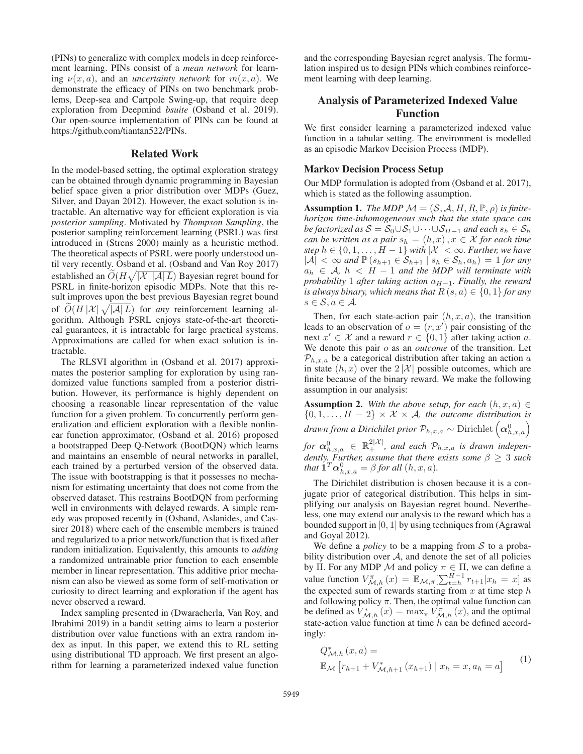(PINs) to generalize with complex models in deep reinforcement learning. PINs consist of a *mean network* for learning  $\nu(x, a)$ , and an *uncertainty network* for  $m(x, a)$ . We demonstrate the efficacy of PINs on two benchmark problems, Deep-sea and Cartpole Swing-up, that require deep exploration from Deepmind *bsuite* (Osband et al. 2019). Our open-source implementation of PINs can be found at https://github.com/tiantan522/PINs.

#### Related Work

In the model-based setting, the optimal exploration strategy can be obtained through dynamic programming in Bayesian belief space given a prior distribution over MDPs (Guez, Silver, and Dayan 2012). However, the exact solution is intractable. An alternative way for efficient exploration is via *posterior sampling*. Motivated by *Thompson Sampling*, the posterior sampling reinforcement learning (PSRL) was first introduced in (Strens 2000) mainly as a heuristic method. The theoretical aspects of PSRL were poorly understood until very recently. Osband et al. (Osband and Van Roy 2017) established an  $\widetilde{O}(H\sqrt{|\mathcal{X}||\mathcal{A}|L})$  Bayesian regret bound for PSRL in finite-horizon episodic MDPs. Note that this result improves upon the best previous Bayesian regret bound of  $\widetilde{O}(H|\mathcal{X}| \sqrt{|\mathcal{A}|L})$  for *any* reinforcement learning algorithm. Although PSRL enjoys state-of-the-art theoretical guarantees, it is intractable for large practical systems. Approximations are called for when exact solution is intractable.

The RLSVI algorithm in (Osband et al. 2017) approximates the posterior sampling for exploration by using randomized value functions sampled from a posterior distribution. However, its performance is highly dependent on choosing a reasonable linear representation of the value function for a given problem. To concurrently perform generalization and efficient exploration with a flexible nonlinear function approximator, (Osband et al. 2016) proposed a bootstrapped Deep Q-Network (BootDQN) which learns and maintains an ensemble of neural networks in parallel, each trained by a perturbed version of the observed data. The issue with bootstrapping is that it possesses no mechanism for estimating uncertainty that does not come from the observed dataset. This restrains BootDQN from performing well in environments with delayed rewards. A simple remedy was proposed recently in (Osband, Aslanides, and Cassirer 2018) where each of the ensemble members is trained and regularized to a prior network/function that is fixed after random initialization. Equivalently, this amounts to *adding* a randomized untrainable prior function to each ensemble member in linear representation. This additive prior mechanism can also be viewed as some form of self-motivation or curiosity to direct learning and exploration if the agent has never observed a reward.

Index sampling presented in (Dwaracherla, Van Roy, and Ibrahimi 2019) in a bandit setting aims to learn a posterior distribution over value functions with an extra random index as input. In this paper, we extend this to RL setting using distributional TD approach. We first present an algorithm for learning a parameterized indexed value function

and the corresponding Bayesian regret analysis. The formulation inspired us to design PINs which combines reinforcement learning with deep learning.

## Analysis of Parameterized Indexed Value Function

We first consider learning a parameterized indexed value function in a tabular setting. The environment is modelled as an episodic Markov Decision Process (MDP).

#### Markov Decision Process Setup

Our MDP formulation is adopted from (Osband et al. 2017), which is stated as the following assumption.

**Assumption 1.** *The MDP*  $\mathcal{M} = (\mathcal{S}, \mathcal{A}, H, R, \mathbb{P}, \rho)$  *is finitehorizon time-inhomogeneous such that the state space can be factorized as*  $S = S_0 \cup S_1 \cup \cdots \cup S_{H-1}$  *and each*  $s_h \in S_h$ *can be written as a pair*  $s_h = (h, x), x \in \mathcal{X}$  *for each time step*  $h \in \{0, 1, \ldots, H - 1\}$  *with*  $|\mathcal{X}| < \infty$ *. Further, we have*  $|A| < \infty$  *and*  $\mathbb{P}(s_{h+1} \in S_{h+1} | s_h \in S_h, a_h) = 1$  *for any*  $a_h \in \mathcal{A}$ ,  $h < H - 1$  *and the MDP will terminate with probability* 1 *after taking action*  $a_{H-1}$ *. Finally, the reward is always binary, which means that*  $R(s, a) \in \{0, 1\}$  *for any*  $s \in \mathcal{S}, a \in \mathcal{A}$ .

Then, for each state-action pair  $(h, x, a)$ , the transition leads to an observation of  $o = (r, x')$  pair consisting of the next  $x' \in \mathcal{X}$  and a reward  $r \in \{0,1\}$  after taking action a. We denote this pair o as an *outcome* of the transition. Let  $P_{h,x,a}$  be a categorical distribution after taking an action a in state  $(h, x)$  over the  $2|\mathcal{X}|$  possible outcomes, which are finite because of the binary reward. We make the following assumption in our analysis:

**Assumption 2.** With the above setup, for each  $(h, x, a) \in$  $\{0, 1, \ldots, H - 2\} \times \mathcal{X} \times \mathcal{A}$ *, the outcome distribution is drawn from a Dirichilet prior*  $\mathcal{P}_{h,x,a} \sim \mathrm{Dirichlet}\left(\boldsymbol{\alpha}_{h,x,a}^0\right)$  $for \ \alpha_{h,x,a}^0 \ \in \ \mathbb{R}_+^{2|\mathcal{X}|},$  and each  $\mathcal{P}_{h,x,a}$  is drawn indepen*dently. Further, assume that there exists some* β ≥ 3 *such that*  $\mathbf{\hat{1}}^T \boldsymbol{\alpha}_{h,x,a}^0 = \beta$  *for all*  $(h, x, a)$ *.* 

The Dirichilet distribution is chosen because it is a conjugate prior of categorical distribution. This helps in simplifying our analysis on Bayesian regret bound. Nevertheless, one may extend our analysis to the reward which has a bounded support in [0, 1] by using techniques from (Agrawal and Goyal 2012).

We define a *policy* to be a mapping from  $S$  to a probability distribution over  $A$ , and denote the set of all policies by Π. For any MDP M and policy  $\pi \in \Pi$ , we can define a value function  $V_{\mathcal{M},h}^{\pi}(x) = \mathbb{E}_{\mathcal{M},\pi}[\sum_{t=h}^{H-1} r_{t+1}|x_h = x]$  as the expected sum of rewards starting from  $x$  at time step  $h$ and following policy  $\pi$ . Then, the optimal value function can be defined as  $V^*_{\mathcal{M},h}(x) = \max_{\pi} V^{\pi}_{\mathcal{M},h}(x)$ , and the optimal state-action value function at time  $h$  can be defined accordingly:

$$
Q_{\mathcal{M},h}^{*}(x,a) =
$$
  

$$
\mathbb{E}_{\mathcal{M}}\left[r_{h+1} + V_{\mathcal{M},h+1}^{*}(x_{h+1}) \mid x_{h} = x, a_{h} = a\right]
$$
 (1)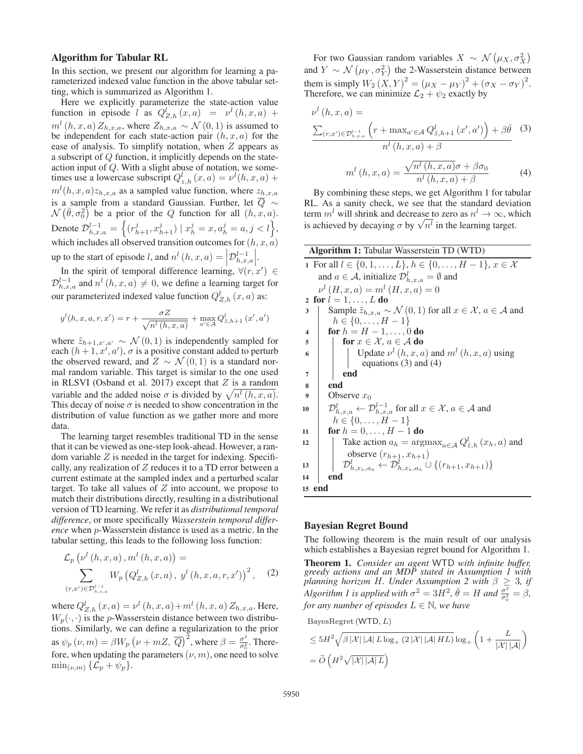#### Algorithm for Tabular RL

In this section, we present our algorithm for learning a parameterized indexed value function in the above tabular setting, which is summarized as Algorithm 1.

Here we explicitly parameterize the state-action value function in episode l as  $Q_{Z,h}^l(x,a) = \nu^l(h,x,a) +$  $m^{l}(h, x, a) Z_{h, x, a}$ , where  $Z_{h, x, a} \sim \mathcal{N}(0, 1)$  is assumed to be independent for each state-action pair  $(h, x, a)$  for the ease of analysis. To simplify notation, when  $Z$  appears as a subscript of Q function, it implicitly depends on the stateaction input of Q. With a slight abuse of notation, we sometimes use a lowercase subscript  $Q_{z,h}^l(x,a) = v^l(h,x,a) +$  $m^l(h, x, a)z_{h, x, a}$  as a sampled value function, where  $z_{h, x, a}$ is a sample from a standard Gaussian. Further, let  $\overline{Q}$  ∼  $\mathcal{N}(\bar{\theta}, \sigma_0^2)$  be a prior of the Q function for all  $(h, x, a)$ . Denote  $\mathcal{D}_{h,x,a}^{l-1} = \left\{ (r_{h+1}^j, x_{h+1}^j) \mid x_h^j = x, a_h^j = a, j < l \right\},\$ which includes all observed transition outcomes for  $(h, x, a)$ up to the start of episode l, and  $n^l$   $(h, x, a) = \left| \mathcal{D}_{h, x, a}^{l-1} \right|$  $\overline{\phantom{a}}$  $\left| . \right|$ 

In the spirit of temporal difference learning,  $\forall (r, x') \in$  $\mathcal{D}_{h,x,a}^{l-1}$  and  $n^l(h,x,a) \neq 0$ , we define a learning target for our parameterized indexed value function  $Q_{Z,h}^l(x,a)$  as:

$$
y^{l}(h, x, a, r, x') = r + \frac{\sigma Z}{\sqrt{n^{l}(h, x, a)}} + \max_{a' \in \mathcal{A}} Q_{\tilde{z}, h+1}^{l}(x', a')
$$

where  $\tilde{z}_{h+1,x',a'} \sim \mathcal{N}(0,1)$  is independently sampled for each  $(h+1, x', a')$ ,  $\sigma$  is a positive constant added to perturb the observed reward, and  $Z \sim \mathcal{N}(0, 1)$  is a standard normal random variable. This target is similar to the one used in RLSVI (Osband et al. 2017) except that  $Z$  is a random variable and the added noise  $\sigma$  is divided by  $\sqrt{n^l (h, x, a)}$ . This decay of noise  $\sigma$  is needed to show concentration in the distribution of value function as we gather more and more data.

The learning target resembles traditional TD in the sense that it can be viewed as one-step look-ahead. However, a random variable  $Z$  is needed in the target for indexing. Specifically, any realization of  $Z$  reduces it to a TD error between a current estimate at the sampled index and a perturbed scalar target. To take all values of  $Z$  into account, we propose to match their distributions directly, resulting in a distributional version of TD learning. We refer it as *distributional temporal difference*, or more specifically *Wasserstein temporal difference* when p-Wasserstein distance is used as a metric. In the tabular setting, this leads to the following loss function:

$$
\mathcal{L}_p \left( \nu^l \left( h, x, a \right), m^l \left( h, x, a \right) \right) =
$$
\n
$$
\sum_{\left( r, x' \right) \in \mathcal{D}_{h, x, a}^{l-1}} W_p \left( Q_{Z, h}^l \left( x, a \right), y^l \left( h, x, a, r, x' \right) \right)^2, \quad (2)
$$

where  $Q_{Z,h}^{l}(x, a) = \nu^{l}(h, x, a) + m^{l}(h, x, a) Z_{h, x, a}$ . Here,  $W_p(\cdot, \cdot)$  is the p-Wasserstein distance between two distributions. Similarly, we can define a regularization to the prior as  $\psi_p(\nu, m) = \beta W_p (\nu + mZ, \overline{Q})^2$ , where  $\beta = \frac{\sigma^2}{\sigma_0^2}$ . Therefore, when updating the parameters  $(\nu, m)$ , one need to solve  $\min_{(\nu,m)} {\{\mathcal{L}_{p} + \psi_{p}\}}.$ 

For two Gaussian random variables  $X \sim \mathcal{N}(\mu_X, \sigma_X^2)$ and  $Y \sim \mathcal{N}(\mu_Y, \sigma_Y^2)$  the 2-Wasserstein distance between them is simply  $W_2(X, Y)^2 = (\mu_X - \mu_Y)^2 + (\sigma_X - \sigma_Y)^2$ . Therefore, we can minimize  $\mathcal{L}_2 + \psi_2$  exactly by

$$
\nu^{l}(h, x, a) =
$$
\n
$$
\frac{\sum_{(r,x') \in \mathcal{D}_{h,x,a}^{l-1}} \left(r + \max_{a' \in \mathcal{A}} Q_{\tilde{z},h+1}^{l}(x', a')\right) + \beta \bar{\theta}}{n^{l}(h, x, a) + \beta} \tag{3}
$$
\n
$$
m^{l}(h, x, a) = \frac{\sqrt{n^{l}(h, x, a)}\sigma + \beta \sigma_{0}}{n^{l}(h, x, a) + \beta} \tag{4}
$$

By combining these steps, we get Algorithm 1 for tabular RL. As a sanity check, we see that the standard deviation term  $m<sup>l</sup>$  will shrink and decrease to zero as  $n<sup>l</sup> \to \infty$ , which term *m*<sup>*m*</sup> will shrink and decrease to zero as  $n \to \infty$ , with sachieved by decaying  $\sigma$  by  $\sqrt{n^l}$  in the learning target.

| <b>Algorithm 1: Tabular Wasserstein TD (WTD)</b>                                                                      |
|-----------------------------------------------------------------------------------------------------------------------|
| 1 For all $l \in \{0, 1, , L\}, h \in \{0, , H-1\}, x \in \mathcal{X}$                                                |
| and $a \in \mathcal{A}$ , initialize $\mathcal{D}_{h,x,a}^l = \emptyset$ and                                          |
| $\nu^l(H, x, a) = m^l(H, x, a) = 0$                                                                                   |
| 2 for $l = 1, \ldots, L$ do                                                                                           |
| Sample $\tilde{z}_{h,x,a} \sim \mathcal{N}(0,1)$ for all $x \in \mathcal{X}, a \in \mathcal{A}$ and<br>3              |
| $h \in \{0, \ldots, H-1\}$                                                                                            |
| <b>for</b> $h = H - 1, , 0$ <b>do</b><br>$\overline{\mathbf{4}}$                                                      |
| for $x \in \mathcal{X}$ , $a \in \mathcal{A}$ do<br>5                                                                 |
| Update $\nu^l(h, x, a)$ and $m^l(h, x, a)$ using<br>6                                                                 |
| equations $(3)$ and $(4)$                                                                                             |
| end<br>7                                                                                                              |
| end<br>8                                                                                                              |
| Observe $x_0$<br>9                                                                                                    |
| $\mathcal{D}_{h.x,a}^l \leftarrow \mathcal{D}_{h.x,a}^{l-1}$ for all $x \in \mathcal{X}, a \in \mathcal{A}$ and<br>10 |
| $h \in \{0, \ldots, H-1\}$                                                                                            |
| for $h = 0, , H - 1$ do<br>11                                                                                         |
| Take action $a_h = \arg\max_{a \in A} Q_{\tilde{z},h}^l(x_h, a)$ and<br>12                                            |
| observe $(r_{h+1}, x_{h+1})$                                                                                          |
| $\mathcal{D}_{h.x_h,a_h}^l \leftarrow \mathcal{D}_{h.x_h,a_h}^l \cup \{(r_{h+1},x_{h+1})\}$<br>13                     |
| end<br>14                                                                                                             |
| 15 end                                                                                                                |

## Bayesian Regret Bound

The following theorem is the main result of our analysis which establishes a Bayesian regret bound for Algorithm 1.

Theorem 1. *Consider an agent* WTD *with infinite buffer, greedy actions and an MDP stated in Assumption 1 with planning horizon* H*. Under Assumption 2 with* β ≥ 3*, if Algorithm 1 is applied with*  $\sigma^2 = 3H^2$ ,  $\bar{\theta} = H$  *and*  $\frac{\sigma^2}{\sigma_0^2} = \beta$ , *for any number of episodes* L ∈ N*, we have*

BayesRegret (WTD, L)

$$
\leq 5H^2 \sqrt{\beta |\mathcal{X}| |\mathcal{A}| L \log_+ (2 |\mathcal{X}| |\mathcal{A}| H L)} \log_+ \left( 1 + \frac{L}{|\mathcal{X}| |\mathcal{A}|} \right)
$$
  
=  $\tilde{O}\left(H^2 \sqrt{|\mathcal{X}| |\mathcal{A}| L}\right)$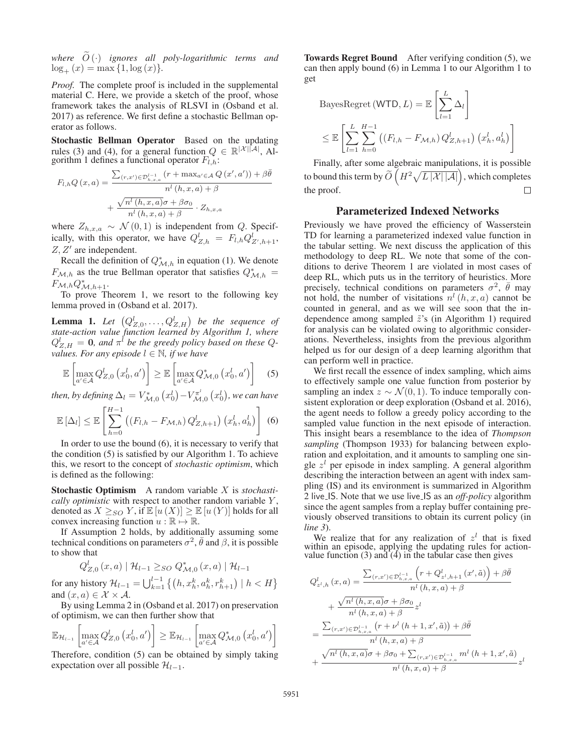where  $O(\cdot)$  *ignores all poly-logarithmic terms and*  $log_+(x) = max\{1, log(x)\}.$ 

*Proof.* The complete proof is included in the supplemental material C. Here, we provide a sketch of the proof, whose framework takes the analysis of RLSVI in (Osband et al. 2017) as reference. We first define a stochastic Bellman operator as follows.

Stochastic Bellman Operator Based on the updating rules (3) and (4), for a general function  $Q \in \mathbb{R}^{|\mathcal{X}||\mathcal{A}|}$ , Algorithm 1 defines a functional operator  $F_{l,h}$ :

$$
F_{l,h}Q(x,a) = \frac{\sum_{(r,x') \in \mathcal{D}_{h,x,a}^{l-1}} (r + \max_{a' \in \mathcal{A}} Q(x',a')) + \beta \bar{\theta}}{n^l (h,x,a) + \beta} + \frac{\sqrt{n^l (h,x,a)} \sigma + \beta \sigma_0}{n^l (h,x,a) + \beta} \cdot Z_{h,x,a}
$$

where  $Z_{h,x,a} \sim \mathcal{N}(0,1)$  is independent from Q. Specifically, with this operator, we have  $Q_{Z,h}^l = F_{l,h} Q_{Z',h+1}^l$ ,  $Z, Z'$  are independent.

Recall the definition of  $Q^*_{\mathcal{M},h}$  in equation (1). We denote  $F_{\mathcal{M},h}$  as the true Bellman operator that satisfies  $Q_{\mathcal{M},h}^* =$  $F_{\mathcal{M},h} Q_{\mathcal{M},h+1}^*$ .

To prove Theorem 1, we resort to the following key lemma proved in (Osband et al. 2017).

**Lemma 1.** Let  $(Q_{Z,0}^l, \ldots, Q_{Z,H}^l)$  be the sequence of *state-action value function learned by Algorithm 1, where*  $Q_{Z,H}^l = 0$ , and  $\pi^l$  be the greedy policy based on these  $Q$ *values. For any episode*  $l \in \mathbb{N}$ , if we have

$$
\mathbb{E}\left[\max_{a'\in\mathcal{A}} Q_{Z,0}^l\left(x_0^l,a'\right)\right] \geq \mathbb{E}\left[\max_{a'\in\mathcal{A}} Q_{\mathcal{M},0}^*\left(x_0^l,a'\right)\right] \quad (5)
$$

*then, by defining*  $\Delta_l = V^*_{\mathcal{M},0}\left(x^l_0\right) - V^{\pi^l}_{\mathcal{M},0}\left(x^l_0\right)$ *, we can have* 

$$
\mathbb{E}\left[\Delta_l\right] \leq \mathbb{E}\left[\sum_{h=0}^{H-1}\left(\left(F_{l,h} - F_{\mathcal{M},h}\right)Q_{Z,h+1}^l\right)\left(x_h^l, a_h^l\right)\right] \tag{6}
$$

In order to use the bound (6), it is necessary to verify that the condition (5) is satisfied by our Algorithm 1. To achieve this, we resort to the concept of *stochastic optimism*, which is defined as the following:

Stochastic Optimism A random variable X is *stochastically optimistic* with respect to another random variable Y, denoted as  $X \geq_{SO} Y$ , if  $\mathbb{E}[u(X)] \geq \mathbb{E}[u(Y)]$  holds for all convex increasing function  $u : \mathbb{R} \mapsto \mathbb{R}$ .

If Assumption 2 holds, by additionally assuming some technical conditions on parameters  $\sigma^2$ ,  $\bar{\theta}$  and  $\beta$ , it is possible to show that

$$
Q_{Z,0}^{l}(x, a) | \mathcal{H}_{l-1} \geq_{SO} Q_{\mathcal{M},0}^{*}(x, a) | \mathcal{H}_{l-1}
$$

for any history  $\mathcal{H}_{l-1} = \bigcup_{k=1}^{l-1} \left\{ \left( h, x_h^k, a_h^k, r_{h+1}^k \right) \mid h < H \right\}$ and  $(x, a) \in \mathcal{X} \times \mathcal{A}$ .

By using Lemma 2 in (Osband et al. 2017) on preservation of optimism, we can then further show that

$$
\mathbb{E}_{\mathcal{H}_{l-1}}\left[\max_{a'\in\mathcal{A}}Q_{Z,0}^l\left(x_0^l,a'\right)\right] \geq \mathbb{E}_{\mathcal{H}_{l-1}}\left[\max_{a'\in\mathcal{A}}Q_{\mathcal{M},0}^*\left(x_0^l,a'\right)\right]
$$

Therefore, condition (5) can be obtained by simply taking expectation over all possible  $\mathcal{H}_{l-1}$ .

Towards Regret Bound After verifying condition (5), we can then apply bound (6) in Lemma 1 to our Algorithm 1 to get

BayesRegret (WTD, 
$$
L
$$
) =  $\mathbb{E}\left[\sum_{l=1}^{L} \Delta_l\right]$   
\n $\leq \mathbb{E}\left[\sum_{l=1}^{L} \sum_{h=0}^{H-1} \left((F_{l,h} - F_{\mathcal{M},h}) Q_{Z,h+1}^l\right)(x_h^l, a_h^l)\right]$ 

Finally, after some algebraic manipulations, it is possible to bound this term by  $\widetilde{O}(H^2\sqrt{L|\mathcal{X}||\mathcal{A}|})$ , which completes the proof. П

## Parameterized Indexed Networks

Previously we have proved the efficiency of Wasserstein TD for learning a parameterized indexed value function in the tabular setting. We next discuss the application of this methodology to deep RL. We note that some of the conditions to derive Theorem 1 are violated in most cases of deep RL, which puts us in the territory of heuristics. More precisely, technical conditions on parameters  $\sigma^2$ ,  $\bar{\theta}$  may not hold, the number of visitations  $n^{l}$   $(h, x, a)$  cannot be counted in general, and as we will see soon that the independence among sampled  $\tilde{z}$ 's (in Algorithm 1) required for analysis can be violated owing to algorithmic considerations. Nevertheless, insights from the previous algorithm helped us for our design of a deep learning algorithm that can perform well in practice.

We first recall the essence of index sampling, which aims to effectively sample one value function from posterior by sampling an index  $z \sim \mathcal{N}(0, 1)$ . To induce temporally consistent exploration or deep exploration (Osband et al. 2016), the agent needs to follow a greedy policy according to the sampled value function in the next episode of interaction. This insight bears a resemblance to the idea of *Thompson sampling* (Thompson 1933) for balancing between exploration and exploitation, and it amounts to sampling one single  $z<sup>l</sup>$  per episode in index sampling. A general algorithm describing the interaction between an agent with index sampling (IS) and its environment is summarized in Algorithm 2 live IS. Note that we use live IS as an *off-policy* algorithm since the agent samples from a replay buffer containing previously observed transitions to obtain its current policy (in *line 3*).

We realize that for any realization of  $z<sup>l</sup>$  that is fixed within an episode, applying the updating rules for actionvalue function  $(3)$  and  $(4)$  in the tabular case then gives

$$
Q_{z^{l},h}^{l}(x, a) = \frac{\sum_{(r,x') \in \mathcal{D}_{h,x,a}^{l-1}} \left(r + Q_{z^{l},h+1}^{l}(x', \tilde{a})\right) + \beta \bar{\theta}}{n^{l}(h, x, a) + \beta} + \frac{\sqrt{n^{l}(h, x, a)}\sigma + \beta \sigma_{0}}{n^{l}(h, x, a) + \beta} z^{l} = \frac{\sum_{(r,x') \in \mathcal{D}_{h,x,a}^{l-1}} \left(r + \nu^{l}(h+1, x', \tilde{a})\right) + \beta \bar{\theta}}{n^{l}(h, x, a) + \beta} + \frac{\sqrt{n^{l}(h, x, a)}\sigma + \beta \sigma_{0} + \sum_{(r,x') \in \mathcal{D}_{h,x,a}^{l-1}} m^{l}(h+1, x', \tilde{a})}{n^{l}(h, x, a) + \beta} z^{l}
$$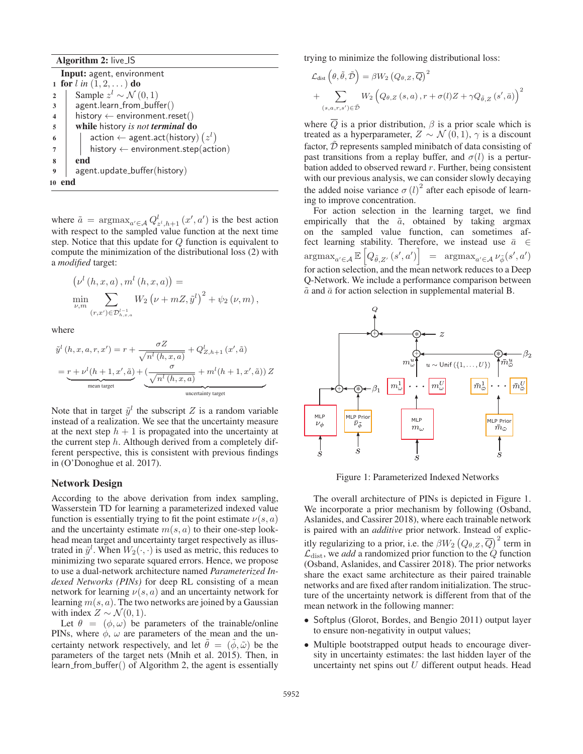Algorithm 2: live\_IS

Input: agent, environment 1 for  $l$  *in*  $(1, 2, ...)$  do 2 Sample  $z^l$  ∼ N (0, 1) <sup>3</sup> agent.learn from buffer()  $4$  history  $\leftarrow$  environment.reset() <sup>5</sup> while history *is not terminal* do  $\begin{array}{c|c} \text{6} & \end{array}$  action  $\leftarrow$  agent.act(history)  $(z^{l})$  $7$  | history  $\leftarrow$  environment.step(action) 8 end <sup>9</sup> agent.update buffer(history) 10 end

where  $\tilde{a} = \argmax_{a' \in \mathcal{A}} Q_{z^l, h+1}^l(x', a')$  is the best action with respect to the sampled value function at the next time step. Notice that this update for Q function is equivalent to compute the minimization of the distributional loss (2) with a *modified* target:

$$
\left(\nu^{l} (h, x, a), m^{l} (h, x, a)\right) = \min_{\nu, m} \sum_{(r, x') \in \mathcal{D}_{h, x, a}^{l-1}} W_2 \left(\nu + mZ, \tilde{y}^{l}\right)^2 + \psi_2 (\nu, m),
$$

where

 $\sim 10$ 

$$
\tilde{y}^{l}(h, x, a, r, x') = r + \frac{\sigma Z}{\sqrt{n^{l}(h, x, a)}} + Q_{Z, h+1}^{l}(x', \tilde{a})
$$
\n
$$
= \underbrace{r + \nu^{l}(h+1, x', \tilde{a})}_{\text{mean target}} + \underbrace{\frac{\sigma}{\sqrt{n^{l}(h, x, a)}} + m^{l}(h+1, x', \tilde{a}))}_{\text{uncertainty target}} Z
$$

Note that in target  $\tilde{y}^l$  the subscript Z is a random variable instead of a realization. We see that the uncertainty measure at the next step  $h + 1$  is propagated into the uncertainty at the current step  $h$ . Although derived from a completely different perspective, this is consistent with previous findings in (O'Donoghue et al. 2017).

#### Network Design

According to the above derivation from index sampling, Wasserstein TD for learning a parameterized indexed value function is essentially trying to fit the point estimate  $\nu(s, a)$ and the uncertainty estimate  $m(s, a)$  to their one-step lookhead mean target and uncertainty target respectively as illustrated in  $\tilde{y}^l$ . When  $W_2(\cdot, \cdot)$  is used as metric, this reduces to minimizing two separate squared errors. Hence, we propose to use a dual-network architecture named *Parameterized Indexed Networks (PINs)* for deep RL consisting of a mean network for learning  $\nu(s, a)$  and an uncertainty network for learning  $m(s, a)$ . The two networks are joined by a Gaussian with index  $Z \sim \mathcal{N}(0, 1)$ .

Let  $\theta = (\phi, \omega)$  be parameters of the trainable/online PINs, where  $\phi$ ,  $\omega$  are parameters of the mean and the uncertainty network respectively, and let  $\tilde{\theta} = (\tilde{\phi}, \tilde{\omega})$  be the parameters of the target nets (Mnih et al. 2015). Then, in learn from buffer() of Algorithm 2, the agent is essentially trying to minimize the following distributional loss:

$$
\mathcal{L}_{dist} \left( \theta, \tilde{\theta}, \tilde{\mathcal{D}} \right) = \beta W_2 \left( Q_{\theta, Z}, \overline{Q} \right)^2 \n+ \sum_{(s, a, r, s') \in \tilde{\mathcal{D}}} W_2 \left( Q_{\theta, Z} \left( s, a \right), r + \sigma(l) Z + \gamma Q_{\tilde{\theta}, Z} \left( s', \bar{a} \right) \right)^2
$$

where  $\overline{Q}$  is a prior distribution,  $\beta$  is a prior scale which is treated as a hyperparameter,  $Z \sim \mathcal{N}(0, 1)$ ,  $\gamma$  is a discount factor,  $\tilde{\mathcal{D}}$  represents sampled minibatch of data consisting of past transitions from a replay buffer, and  $\sigma(l)$  is a perturbation added to observed reward  $r$ . Further, being consistent with our previous analysis, we can consider slowly decaying the added noise variance  $\sigma$  (*l*)<sup>2</sup> after each episode of learning to improve concentration.

For action selection in the learning target, we find empirically that the  $\tilde{a}$ , obtained by taking argmax on the sampled value function, can sometimes affect learning stability. Therefore, we instead use  $\bar{a} \in$  $\arg \max_{a' \in \mathcal{A}} \mathbb{E} \left[ Q_{\tilde{\theta}, Z'}(s', a') \right] = \arg \max_{a' \in \mathcal{A}} \nu_{\tilde{\phi}}(s', a')$ for action selection, and the mean network reduces to a Deep Q-Network. We include a performance comparison between  $\tilde{a}$  and  $\bar{a}$  for action selection in supplemental material B.



Figure 1: Parameterized Indexed Networks

The overall architecture of PINs is depicted in Figure 1. We incorporate a prior mechanism by following (Osband, Aslanides, and Cassirer 2018), where each trainable network is paired with an *additive* prior network. Instead of explicitly regularizing to a prior, i.e. the  $\beta W_2\left(Q_{\theta,Z},\overline{Q}\right)^2$  term in  $\mathcal{L}_{dist}$ , we *add* a randomized prior function to the  $\hat{Q}$  function (Osband, Aslanides, and Cassirer 2018). The prior networks share the exact same architecture as their paired trainable networks and are fixed after random initialization. The structure of the uncertainty network is different from that of the mean network in the following manner:

- Softplus (Glorot, Bordes, and Bengio 2011) output layer to ensure non-negativity in output values;
- Multiple bootstrapped output heads to encourage diversity in uncertainty estimates: the last hidden layer of the uncertainty net spins out  $U$  different output heads. Head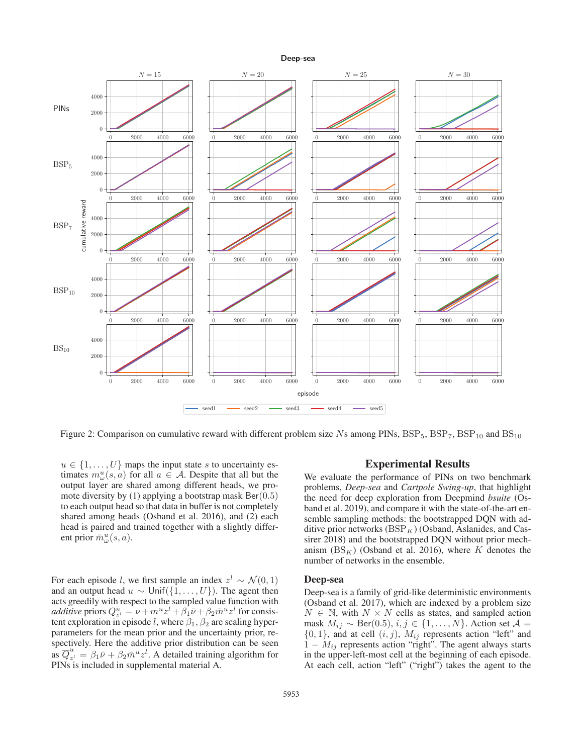

Figure 2: Comparison on cumulative reward with different problem size Ns among PINs,  $BSP_5$ ,  $BSP_7$ ,  $BSP_{10}$  and  $BS_{10}$ 

 $u \in \{1, \ldots, U\}$  maps the input state s to uncertainty estimates  $m_{\omega}^{u}(s, a)$  for all  $a \in \mathcal{A}$ . Despite that all but the output layer are shared among different heads, we promote diversity by (1) applying a bootstrap mask  $Ber(0.5)$ to each output head so that data in buffer is not completely shared among heads (Osband et al. 2016), and (2) each head is paired and trained together with a slightly different prior  $\bar{m}^u_{\bar{\omega}}(s, a)$ .

For each episode l, we first sample an index  $z^l \sim \mathcal{N}(0, 1)$ and an output head  $u \sim \text{Unif}(\{1,\ldots,U\})$ . The agent then acts greedily with respect to the sampled value function with *additive* priors  $Q_{z'}^u = \nu + m^u z^l + \beta_1 \bar{\nu} + \beta_2 \bar{m}^u z^l$  for consistent exploration in episode l, where  $\beta_1, \beta_2$  are scaling hyperparameters for the mean prior and the uncertainty prior, respectively. Here the additive prior distribution can be seen as  $\overline{Q}_{z}^{u} = \beta_1 \overline{\nu} + \beta_2 \overline{m}^{u} z^{l}$ . A detailed training algorithm for PINs is included in supplemental material A.

## Experimental Results

We evaluate the performance of PINs on two benchmark problems, *Deep-sea* and *Cartpole Swing-up*, that highlight the need for deep exploration from Deepmind *bsuite* (Osband et al. 2019), and compare it with the state-of-the-art ensemble sampling methods: the bootstrapped DQN with additive prior networks  $(BSP<sub>K</sub>)$  (Osband, Aslanides, and Cassirer 2018) and the bootstrapped DQN without prior mechanism  $(BS_K)$  (Osband et al. 2016), where K denotes the number of networks in the ensemble.

#### Deep-sea

Deep-sea is a family of grid-like deterministic environments (Osband et al. 2017), which are indexed by a problem size  $N \in \mathbb{N}$ , with  $N \times N$  cells as states, and sampled action mask  $M_{ij}$  ∼ Ber(0.5),  $i, j \in \{1, ..., N\}$ . Action set  $\mathcal{A} =$  $\{0, 1\}$ , and at cell  $(i, j)$ ,  $M_{ij}$  represents action "left" and  $1 - M_{ij}$  represents action "right". The agent always starts in the upper-left-most cell at the beginning of each episode. At each cell, action "left" ("right") takes the agent to the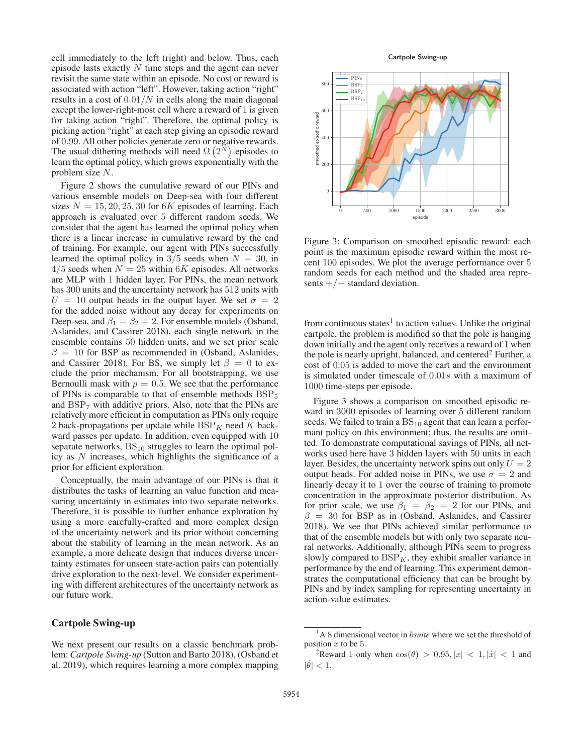cell immediately to the left (right) and below. Thus, each episode lasts exactly  $N$  time steps and the agent can never revisit the same state within an episode. No cost or reward is associated with action "left". However, taking action "right" results in a cost of  $0.01/N$  in cells along the main diagonal except the lower-right-most cell where a reward of 1 is given for taking action "right". Therefore, the optimal policy is picking action "right" at each step giving an episodic reward of 0.99. All other policies generate zero or negative rewards. The usual dithering methods will need  $\Omega(2^N)$  episodes to learn the optimal policy, which grows exponentially with the problem size N.

Figure 2 shows the cumulative reward of our PINs and various ensemble models on Deep-sea with four different sizes  $N = 15, 20, 25, 30$  for 6K episodes of learning. Each approach is evaluated over 5 different random seeds. We consider that the agent has learned the optimal policy when there is a linear increase in cumulative reward by the end of training. For example, our agent with PINs successfully learned the optimal policy in  $3/5$  seeds when  $N = 30$ , in  $4/5$  seeds when  $N = 25$  within 6K episodes. All networks are MLP with 1 hidden layer. For PINs, the mean network has 300 units and the uncertainty network has 512 units with  $U = 10$  output heads in the output layer. We set  $\sigma = 2$ for the added noise without any decay for experiments on Deep-sea, and  $\beta_1 = \beta_2 = 2$ . For ensemble models (Osband, Aslanides, and Cassirer 2018), each single network in the ensemble contains 50 hidden units, and we set prior scale  $\beta = 10$  for BSP as recommended in (Osband, Aslanides, and Cassirer 2018). For BS, we simply let  $\beta = 0$  to exclude the prior mechanism. For all bootstrapping, we use Bernoulli mask with  $p = 0.5$ . We see that the performance of PINs is comparable to that of ensemble methods  $BSP<sub>5</sub>$ and  $BSP<sub>7</sub>$  with additive priors. Also, note that the PINs are relatively more efficient in computation as PINs only require 2 back-propagations per update while  $BSP_K$  need K backward passes per update. In addition, even equipped with 10 separate networks,  $BS_{10}$  struggles to learn the optimal policy as N increases, which highlights the significance of a prior for efficient exploration.

Conceptually, the main advantage of our PINs is that it distributes the tasks of learning an value function and measuring uncertainty in estimates into two separate networks. Therefore, it is possible to further enhance exploration by using a more carefully-crafted and more complex design of the uncertainty network and its prior without concerning about the stability of learning in the mean network. As an example, a more delicate design that induces diverse uncertainty estimates for unseen state-action pairs can potentially drive exploration to the next-level. We consider experimenting with different architectures of the uncertainty network as our future work.

## Cartpole Swing-up

We next present our results on a classic benchmark problem: *Cartpole Swing-up* (Sutton and Barto 2018), (Osband et al. 2019), which requires learning a more complex mapping





Figure 3: Comparison on smoothed episodic reward: each point is the maximum episodic reward within the most recent 100 episodes. We plot the average performance over 5 random seeds for each method and the shaded area represents  $+/-$  standard deviation.

from continuous states<sup>1</sup> to action values. Unlike the original cartpole, the problem is modified so that the pole is hanging down initially and the agent only receives a reward of 1 when the pole is nearly upright, balanced, and centered<sup>2</sup> Further, a cost of 0.05 is added to move the cart and the environment is simulated under timescale of 0.01s with a maximum of 1000 time-steps per episode.

Figure 3 shows a comparison on smoothed episodic reward in 3000 episodes of learning over 5 different random seeds. We failed to train a  $BS_{10}$  agent that can learn a performant policy on this environment; thus, the results are omitted. To demonstrate computational savings of PINs, all networks used here have 3 hidden layers with 50 units in each layer. Besides, the uncertainty network spins out only  $U = 2$ output heads. For added noise in PINs, we use  $\sigma = 2$  and linearly decay it to 1 over the course of training to promote concentration in the approximate posterior distribution. As for prior scale, we use  $\beta_1 = \beta_2 = 2$  for our PINs, and  $\beta = 30$  for BSP as in (Osband, Aslanides, and Cassirer 2018). We see that PINs achieved similar performance to that of the ensemble models but with only two separate neural networks. Additionally, although PINs seem to progress slowly compared to  $BSP_K$ , they exhibit smaller variance in performance by the end of learning. This experiment demonstrates the computational efficiency that can be brought by PINs and by index sampling for representing uncertainty in action-value estimates.

<sup>&</sup>lt;sup>1</sup>A 8 dimensional vector in *bsuite* where we set the threshold of position  $x$  to be 5.

<sup>&</sup>lt;sup>2</sup>Reward 1 only when  $\cos(\theta) > 0.95, |x| < 1, |\dot{x}| < 1$  and  $|\dot{\theta}| < 1.$